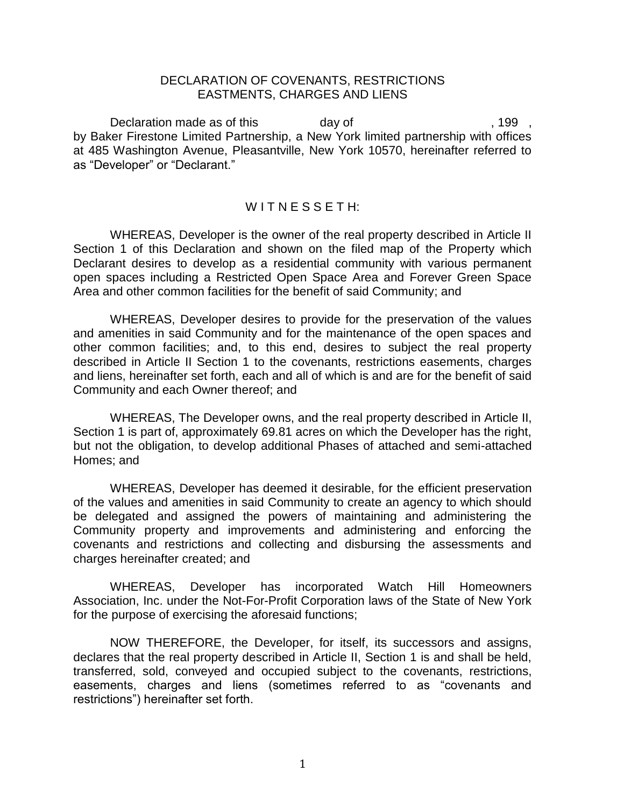#### DECLARATION OF COVENANTS, RESTRICTIONS EASTMENTS, CHARGES AND LIENS

Declaration made as of this day of  $\frac{199}{199}$ by Baker Firestone Limited Partnership, a New York limited partnership with offices at 485 Washington Avenue, Pleasantville, New York 10570, hereinafter referred to as "Developer" or "Declarant."

#### $W$ ITNFSSFTH:

WHEREAS, Developer is the owner of the real property described in Article II Section 1 of this Declaration and shown on the filed map of the Property which Declarant desires to develop as a residential community with various permanent open spaces including a Restricted Open Space Area and Forever Green Space Area and other common facilities for the benefit of said Community; and

WHEREAS, Developer desires to provide for the preservation of the values and amenities in said Community and for the maintenance of the open spaces and other common facilities; and, to this end, desires to subject the real property described in Article II Section 1 to the covenants, restrictions easements, charges and liens, hereinafter set forth, each and all of which is and are for the benefit of said Community and each Owner thereof; and

WHEREAS, The Developer owns, and the real property described in Article II, Section 1 is part of, approximately 69.81 acres on which the Developer has the right, but not the obligation, to develop additional Phases of attached and semi-attached Homes; and

WHEREAS, Developer has deemed it desirable, for the efficient preservation of the values and amenities in said Community to create an agency to which should be delegated and assigned the powers of maintaining and administering the Community property and improvements and administering and enforcing the covenants and restrictions and collecting and disbursing the assessments and charges hereinafter created; and

WHEREAS, Developer has incorporated Watch Hill Homeowners Association, Inc. under the Not-For-Profit Corporation laws of the State of New York for the purpose of exercising the aforesaid functions;

NOW THEREFORE, the Developer, for itself, its successors and assigns, declares that the real property described in Article II, Section 1 is and shall be held, transferred, sold, conveyed and occupied subject to the covenants, restrictions, easements, charges and liens (sometimes referred to as "covenants and restrictions") hereinafter set forth.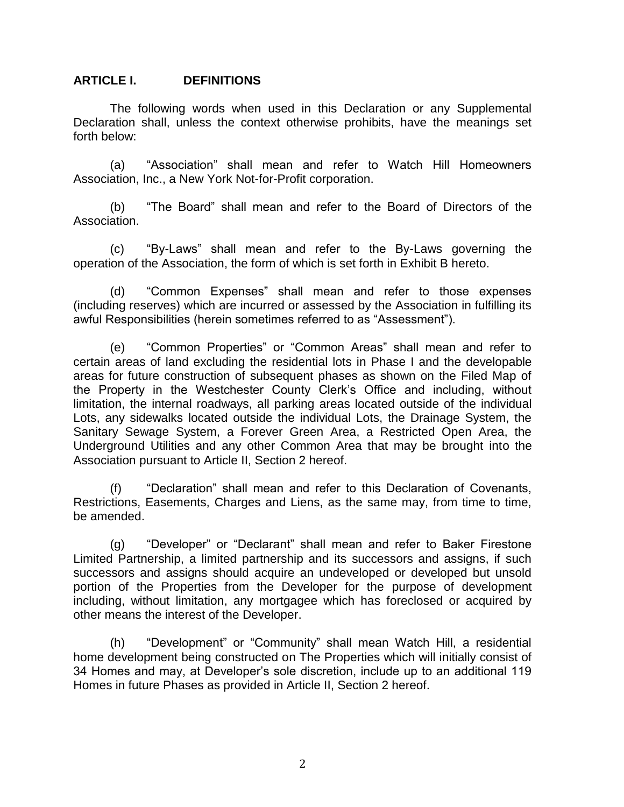#### **ARTICLE I. DEFINITIONS**

The following words when used in this Declaration or any Supplemental Declaration shall, unless the context otherwise prohibits, have the meanings set forth below:

(a) "Association" shall mean and refer to Watch Hill Homeowners Association, Inc., a New York Not-for-Profit corporation.

(b) "The Board" shall mean and refer to the Board of Directors of the Association.

(c) "By-Laws" shall mean and refer to the By-Laws governing the operation of the Association, the form of which is set forth in Exhibit B hereto.

(d) "Common Expenses" shall mean and refer to those expenses (including reserves) which are incurred or assessed by the Association in fulfilling its awful Responsibilities (herein sometimes referred to as "Assessment").

(e) "Common Properties" or "Common Areas" shall mean and refer to certain areas of land excluding the residential lots in Phase I and the developable areas for future construction of subsequent phases as shown on the Filed Map of the Property in the Westchester County Clerk's Office and including, without limitation, the internal roadways, all parking areas located outside of the individual Lots, any sidewalks located outside the individual Lots, the Drainage System, the Sanitary Sewage System, a Forever Green Area, a Restricted Open Area, the Underground Utilities and any other Common Area that may be brought into the Association pursuant to Article II, Section 2 hereof.

(f) "Declaration" shall mean and refer to this Declaration of Covenants, Restrictions, Easements, Charges and Liens, as the same may, from time to time, be amended.

(g) "Developer" or "Declarant" shall mean and refer to Baker Firestone Limited Partnership, a limited partnership and its successors and assigns, if such successors and assigns should acquire an undeveloped or developed but unsold portion of the Properties from the Developer for the purpose of development including, without limitation, any mortgagee which has foreclosed or acquired by other means the interest of the Developer.

(h) "Development" or "Community" shall mean Watch Hill, a residential home development being constructed on The Properties which will initially consist of 34 Homes and may, at Developer's sole discretion, include up to an additional 119 Homes in future Phases as provided in Article II, Section 2 hereof.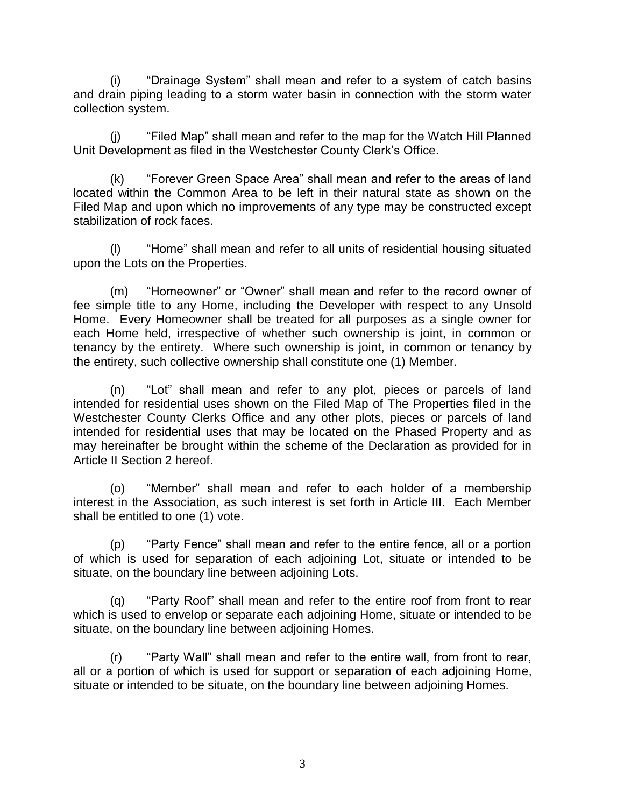(i) "Drainage System" shall mean and refer to a system of catch basins and drain piping leading to a storm water basin in connection with the storm water collection system.

(j) "Filed Map" shall mean and refer to the map for the Watch Hill Planned Unit Development as filed in the Westchester County Clerk's Office.

(k) "Forever Green Space Area" shall mean and refer to the areas of land located within the Common Area to be left in their natural state as shown on the Filed Map and upon which no improvements of any type may be constructed except stabilization of rock faces.

(l) "Home" shall mean and refer to all units of residential housing situated upon the Lots on the Properties.

(m) "Homeowner" or "Owner" shall mean and refer to the record owner of fee simple title to any Home, including the Developer with respect to any Unsold Home. Every Homeowner shall be treated for all purposes as a single owner for each Home held, irrespective of whether such ownership is joint, in common or tenancy by the entirety. Where such ownership is joint, in common or tenancy by the entirety, such collective ownership shall constitute one (1) Member.

(n) "Lot" shall mean and refer to any plot, pieces or parcels of land intended for residential uses shown on the Filed Map of The Properties filed in the Westchester County Clerks Office and any other plots, pieces or parcels of land intended for residential uses that may be located on the Phased Property and as may hereinafter be brought within the scheme of the Declaration as provided for in Article II Section 2 hereof.

(o) "Member" shall mean and refer to each holder of a membership interest in the Association, as such interest is set forth in Article III. Each Member shall be entitled to one (1) vote.

(p) "Party Fence" shall mean and refer to the entire fence, all or a portion of which is used for separation of each adjoining Lot, situate or intended to be situate, on the boundary line between adjoining Lots.

(q) "Party Roof" shall mean and refer to the entire roof from front to rear which is used to envelop or separate each adjoining Home, situate or intended to be situate, on the boundary line between adjoining Homes.

(r) "Party Wall" shall mean and refer to the entire wall, from front to rear, all or a portion of which is used for support or separation of each adjoining Home, situate or intended to be situate, on the boundary line between adjoining Homes.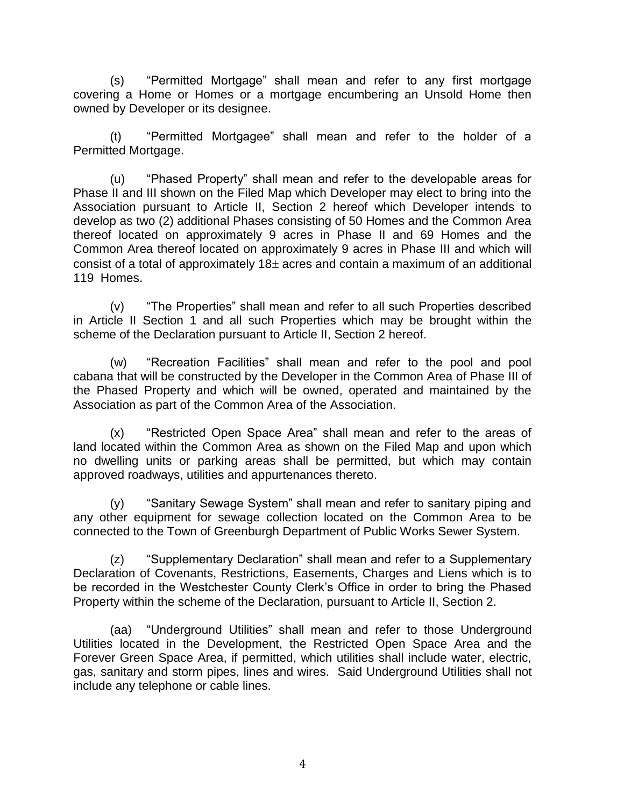(s) "Permitted Mortgage" shall mean and refer to any first mortgage covering a Home or Homes or a mortgage encumbering an Unsold Home then owned by Developer or its designee.

(t) "Permitted Mortgagee" shall mean and refer to the holder of a Permitted Mortgage.

(u) "Phased Property" shall mean and refer to the developable areas for Phase II and III shown on the Filed Map which Developer may elect to bring into the Association pursuant to Article II, Section 2 hereof which Developer intends to develop as two (2) additional Phases consisting of 50 Homes and the Common Area thereof located on approximately 9 acres in Phase II and 69 Homes and the Common Area thereof located on approximately 9 acres in Phase III and which will consist of a total of approximately  $18<sub>±</sub>$  acres and contain a maximum of an additional 119 Homes.

(v) "The Properties" shall mean and refer to all such Properties described in Article II Section 1 and all such Properties which may be brought within the scheme of the Declaration pursuant to Article II, Section 2 hereof.

(w) "Recreation Facilities" shall mean and refer to the pool and pool cabana that will be constructed by the Developer in the Common Area of Phase III of the Phased Property and which will be owned, operated and maintained by the Association as part of the Common Area of the Association.

(x) "Restricted Open Space Area" shall mean and refer to the areas of land located within the Common Area as shown on the Filed Map and upon which no dwelling units or parking areas shall be permitted, but which may contain approved roadways, utilities and appurtenances thereto.

(y) "Sanitary Sewage System" shall mean and refer to sanitary piping and any other equipment for sewage collection located on the Common Area to be connected to the Town of Greenburgh Department of Public Works Sewer System.

(z) "Supplementary Declaration" shall mean and refer to a Supplementary Declaration of Covenants, Restrictions, Easements, Charges and Liens which is to be recorded in the Westchester County Clerk's Office in order to bring the Phased Property within the scheme of the Declaration, pursuant to Article II, Section 2.

(aa) "Underground Utilities" shall mean and refer to those Underground Utilities located in the Development, the Restricted Open Space Area and the Forever Green Space Area, if permitted, which utilities shall include water, electric, gas, sanitary and storm pipes, lines and wires. Said Underground Utilities shall not include any telephone or cable lines.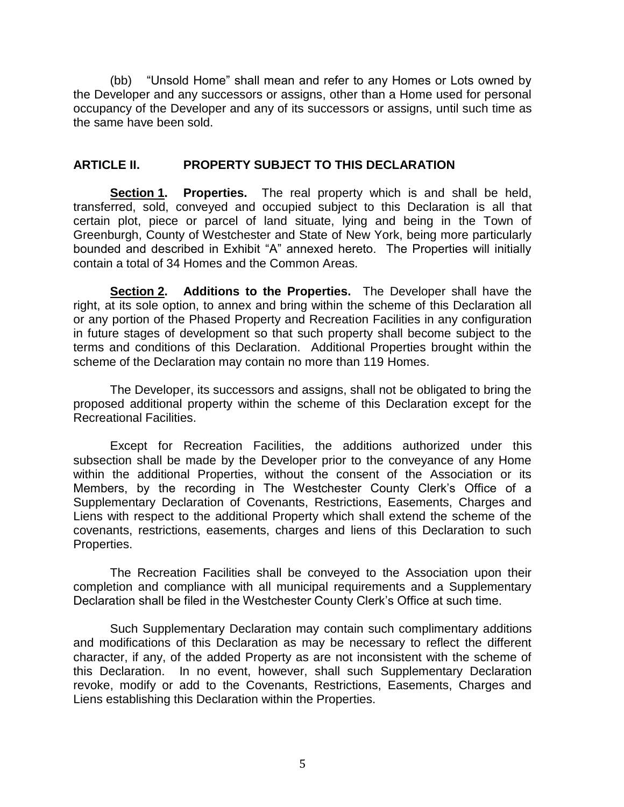(bb) "Unsold Home" shall mean and refer to any Homes or Lots owned by the Developer and any successors or assigns, other than a Home used for personal occupancy of the Developer and any of its successors or assigns, until such time as the same have been sold.

### **ARTICLE II. PROPERTY SUBJECT TO THIS DECLARATION**

**Section 1. Properties.** The real property which is and shall be held, transferred, sold, conveyed and occupied subject to this Declaration is all that certain plot, piece or parcel of land situate, lying and being in the Town of Greenburgh, County of Westchester and State of New York, being more particularly bounded and described in Exhibit "A" annexed hereto. The Properties will initially contain a total of 34 Homes and the Common Areas.

**Section 2. Additions to the Properties.** The Developer shall have the right, at its sole option, to annex and bring within the scheme of this Declaration all or any portion of the Phased Property and Recreation Facilities in any configuration in future stages of development so that such property shall become subject to the terms and conditions of this Declaration. Additional Properties brought within the scheme of the Declaration may contain no more than 119 Homes.

The Developer, its successors and assigns, shall not be obligated to bring the proposed additional property within the scheme of this Declaration except for the Recreational Facilities.

Except for Recreation Facilities, the additions authorized under this subsection shall be made by the Developer prior to the conveyance of any Home within the additional Properties, without the consent of the Association or its Members, by the recording in The Westchester County Clerk's Office of a Supplementary Declaration of Covenants, Restrictions, Easements, Charges and Liens with respect to the additional Property which shall extend the scheme of the covenants, restrictions, easements, charges and liens of this Declaration to such Properties.

The Recreation Facilities shall be conveyed to the Association upon their completion and compliance with all municipal requirements and a Supplementary Declaration shall be filed in the Westchester County Clerk's Office at such time.

Such Supplementary Declaration may contain such complimentary additions and modifications of this Declaration as may be necessary to reflect the different character, if any, of the added Property as are not inconsistent with the scheme of this Declaration. In no event, however, shall such Supplementary Declaration revoke, modify or add to the Covenants, Restrictions, Easements, Charges and Liens establishing this Declaration within the Properties.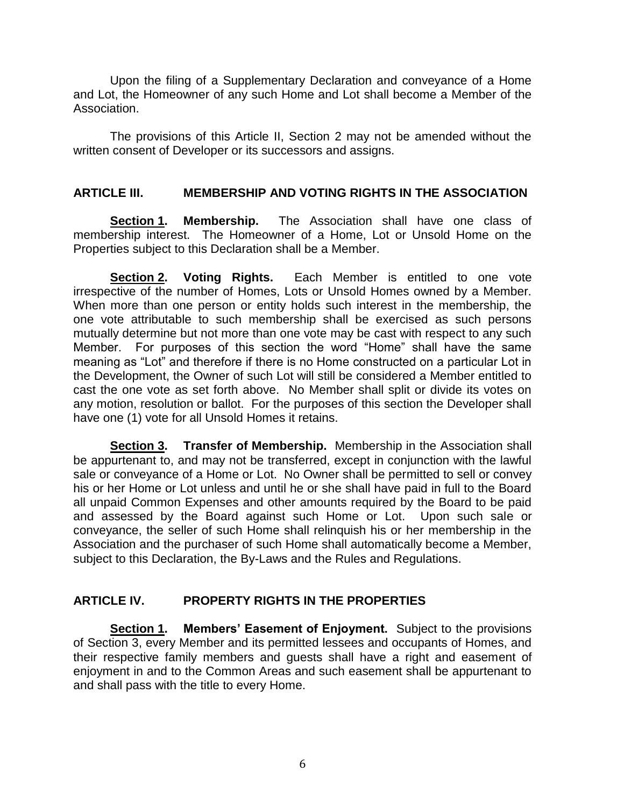Upon the filing of a Supplementary Declaration and conveyance of a Home and Lot, the Homeowner of any such Home and Lot shall become a Member of the Association.

The provisions of this Article II, Section 2 may not be amended without the written consent of Developer or its successors and assigns.

### **ARTICLE III. MEMBERSHIP AND VOTING RIGHTS IN THE ASSOCIATION**

**Section 1. Membership.** The Association shall have one class of membership interest. The Homeowner of a Home, Lot or Unsold Home on the Properties subject to this Declaration shall be a Member.

**Section 2. Voting Rights.** Each Member is entitled to one vote irrespective of the number of Homes, Lots or Unsold Homes owned by a Member. When more than one person or entity holds such interest in the membership, the one vote attributable to such membership shall be exercised as such persons mutually determine but not more than one vote may be cast with respect to any such Member. For purposes of this section the word "Home" shall have the same meaning as "Lot" and therefore if there is no Home constructed on a particular Lot in the Development, the Owner of such Lot will still be considered a Member entitled to cast the one vote as set forth above. No Member shall split or divide its votes on any motion, resolution or ballot. For the purposes of this section the Developer shall have one (1) vote for all Unsold Homes it retains.

**Section 3. Transfer of Membership.** Membership in the Association shall be appurtenant to, and may not be transferred, except in conjunction with the lawful sale or conveyance of a Home or Lot. No Owner shall be permitted to sell or convey his or her Home or Lot unless and until he or she shall have paid in full to the Board all unpaid Common Expenses and other amounts required by the Board to be paid and assessed by the Board against such Home or Lot. Upon such sale or conveyance, the seller of such Home shall relinquish his or her membership in the Association and the purchaser of such Home shall automatically become a Member, subject to this Declaration, the By-Laws and the Rules and Regulations.

# **ARTICLE IV. PROPERTY RIGHTS IN THE PROPERTIES**

**Section 1. Members' Easement of Enjoyment.** Subject to the provisions of Section 3, every Member and its permitted lessees and occupants of Homes, and their respective family members and guests shall have a right and easement of enjoyment in and to the Common Areas and such easement shall be appurtenant to and shall pass with the title to every Home.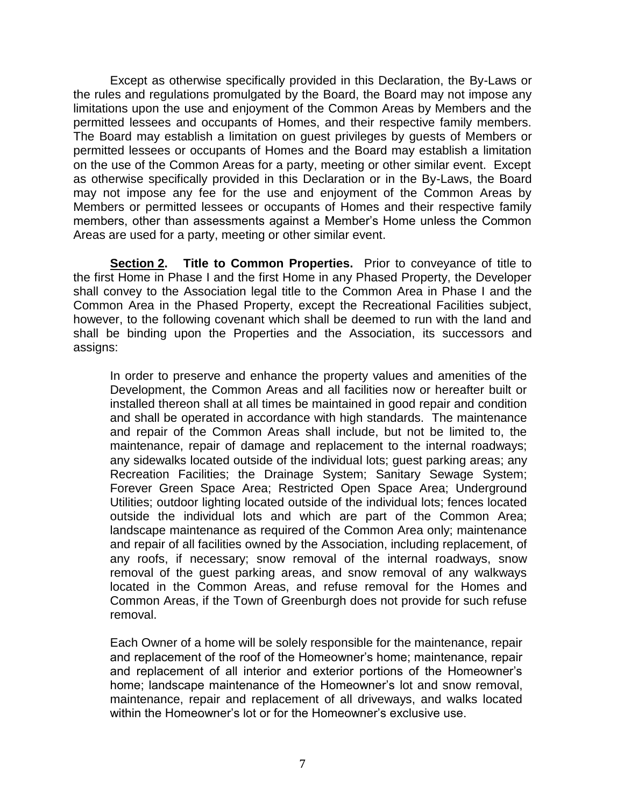Except as otherwise specifically provided in this Declaration, the By-Laws or the rules and regulations promulgated by the Board, the Board may not impose any limitations upon the use and enjoyment of the Common Areas by Members and the permitted lessees and occupants of Homes, and their respective family members. The Board may establish a limitation on guest privileges by guests of Members or permitted lessees or occupants of Homes and the Board may establish a limitation on the use of the Common Areas for a party, meeting or other similar event. Except as otherwise specifically provided in this Declaration or in the By-Laws, the Board may not impose any fee for the use and enjoyment of the Common Areas by Members or permitted lessees or occupants of Homes and their respective family members, other than assessments against a Member's Home unless the Common Areas are used for a party, meeting or other similar event.

**Section 2. Title to Common Properties.** Prior to conveyance of title to the first Home in Phase I and the first Home in any Phased Property, the Developer shall convey to the Association legal title to the Common Area in Phase I and the Common Area in the Phased Property, except the Recreational Facilities subject, however, to the following covenant which shall be deemed to run with the land and shall be binding upon the Properties and the Association, its successors and assigns:

In order to preserve and enhance the property values and amenities of the Development, the Common Areas and all facilities now or hereafter built or installed thereon shall at all times be maintained in good repair and condition and shall be operated in accordance with high standards. The maintenance and repair of the Common Areas shall include, but not be limited to, the maintenance, repair of damage and replacement to the internal roadways; any sidewalks located outside of the individual lots; guest parking areas; any Recreation Facilities; the Drainage System; Sanitary Sewage System; Forever Green Space Area; Restricted Open Space Area; Underground Utilities; outdoor lighting located outside of the individual lots; fences located outside the individual lots and which are part of the Common Area; landscape maintenance as required of the Common Area only; maintenance and repair of all facilities owned by the Association, including replacement, of any roofs, if necessary; snow removal of the internal roadways, snow removal of the guest parking areas, and snow removal of any walkways located in the Common Areas, and refuse removal for the Homes and Common Areas, if the Town of Greenburgh does not provide for such refuse removal.

Each Owner of a home will be solely responsible for the maintenance, repair and replacement of the roof of the Homeowner's home; maintenance, repair and replacement of all interior and exterior portions of the Homeowner's home; landscape maintenance of the Homeowner's lot and snow removal, maintenance, repair and replacement of all driveways, and walks located within the Homeowner's lot or for the Homeowner's exclusive use.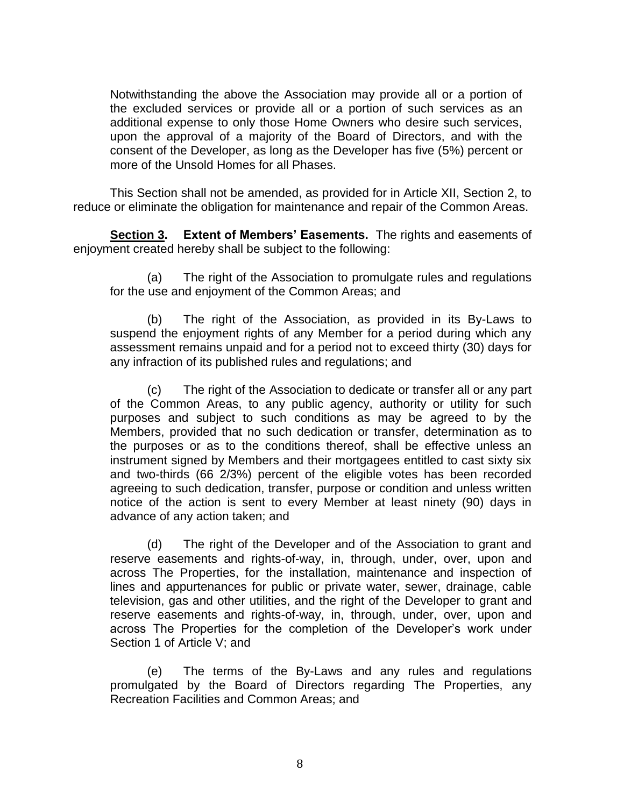Notwithstanding the above the Association may provide all or a portion of the excluded services or provide all or a portion of such services as an additional expense to only those Home Owners who desire such services, upon the approval of a majority of the Board of Directors, and with the consent of the Developer, as long as the Developer has five (5%) percent or more of the Unsold Homes for all Phases.

This Section shall not be amended, as provided for in Article XII, Section 2, to reduce or eliminate the obligation for maintenance and repair of the Common Areas.

**Section 3. Extent of Members' Easements.** The rights and easements of enjoyment created hereby shall be subject to the following:

(a) The right of the Association to promulgate rules and regulations for the use and enjoyment of the Common Areas; and

(b) The right of the Association, as provided in its By-Laws to suspend the enjoyment rights of any Member for a period during which any assessment remains unpaid and for a period not to exceed thirty (30) days for any infraction of its published rules and regulations; and

(c) The right of the Association to dedicate or transfer all or any part of the Common Areas, to any public agency, authority or utility for such purposes and subject to such conditions as may be agreed to by the Members, provided that no such dedication or transfer, determination as to the purposes or as to the conditions thereof, shall be effective unless an instrument signed by Members and their mortgagees entitled to cast sixty six and two-thirds (66 2/3%) percent of the eligible votes has been recorded agreeing to such dedication, transfer, purpose or condition and unless written notice of the action is sent to every Member at least ninety (90) days in advance of any action taken; and

(d) The right of the Developer and of the Association to grant and reserve easements and rights-of-way, in, through, under, over, upon and across The Properties, for the installation, maintenance and inspection of lines and appurtenances for public or private water, sewer, drainage, cable television, gas and other utilities, and the right of the Developer to grant and reserve easements and rights-of-way, in, through, under, over, upon and across The Properties for the completion of the Developer's work under Section 1 of Article V; and

(e) The terms of the By-Laws and any rules and regulations promulgated by the Board of Directors regarding The Properties, any Recreation Facilities and Common Areas; and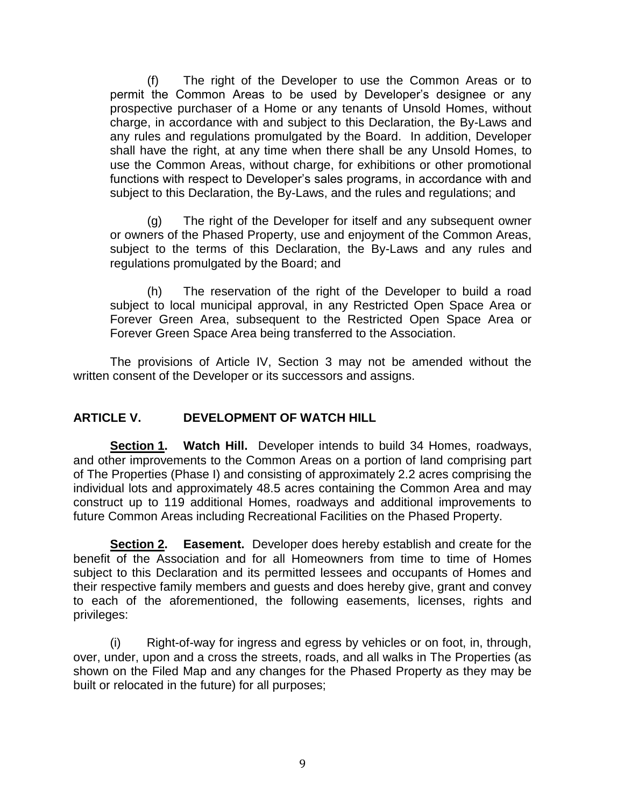(f) The right of the Developer to use the Common Areas or to permit the Common Areas to be used by Developer's designee or any prospective purchaser of a Home or any tenants of Unsold Homes, without charge, in accordance with and subject to this Declaration, the By-Laws and any rules and regulations promulgated by the Board. In addition, Developer shall have the right, at any time when there shall be any Unsold Homes, to use the Common Areas, without charge, for exhibitions or other promotional functions with respect to Developer's sales programs, in accordance with and subject to this Declaration, the By-Laws, and the rules and regulations; and

(g) The right of the Developer for itself and any subsequent owner or owners of the Phased Property, use and enjoyment of the Common Areas, subject to the terms of this Declaration, the By-Laws and any rules and regulations promulgated by the Board; and

(h) The reservation of the right of the Developer to build a road subject to local municipal approval, in any Restricted Open Space Area or Forever Green Area, subsequent to the Restricted Open Space Area or Forever Green Space Area being transferred to the Association.

The provisions of Article IV, Section 3 may not be amended without the written consent of the Developer or its successors and assigns.

# **ARTICLE V. DEVELOPMENT OF WATCH HILL**

**Section 1. Watch Hill.** Developer intends to build 34 Homes, roadways, and other improvements to the Common Areas on a portion of land comprising part of The Properties (Phase I) and consisting of approximately 2.2 acres comprising the individual lots and approximately 48.5 acres containing the Common Area and may construct up to 119 additional Homes, roadways and additional improvements to future Common Areas including Recreational Facilities on the Phased Property.

**Section 2. Easement.** Developer does hereby establish and create for the benefit of the Association and for all Homeowners from time to time of Homes subject to this Declaration and its permitted lessees and occupants of Homes and their respective family members and guests and does hereby give, grant and convey to each of the aforementioned, the following easements, licenses, rights and privileges:

(i) Right-of-way for ingress and egress by vehicles or on foot, in, through, over, under, upon and a cross the streets, roads, and all walks in The Properties (as shown on the Filed Map and any changes for the Phased Property as they may be built or relocated in the future) for all purposes;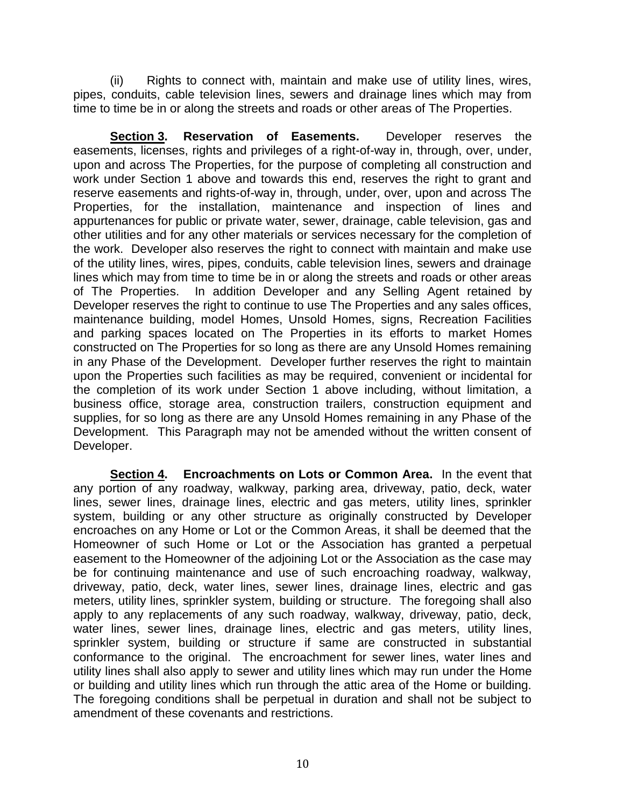(ii) Rights to connect with, maintain and make use of utility lines, wires, pipes, conduits, cable television lines, sewers and drainage lines which may from time to time be in or along the streets and roads or other areas of The Properties.

**Section 3. Reservation of Easements.** Developer reserves the easements, licenses, rights and privileges of a right-of-way in, through, over, under, upon and across The Properties, for the purpose of completing all construction and work under Section 1 above and towards this end, reserves the right to grant and reserve easements and rights-of-way in, through, under, over, upon and across The Properties, for the installation, maintenance and inspection of lines and appurtenances for public or private water, sewer, drainage, cable television, gas and other utilities and for any other materials or services necessary for the completion of the work. Developer also reserves the right to connect with maintain and make use of the utility lines, wires, pipes, conduits, cable television lines, sewers and drainage lines which may from time to time be in or along the streets and roads or other areas of The Properties. In addition Developer and any Selling Agent retained by Developer reserves the right to continue to use The Properties and any sales offices, maintenance building, model Homes, Unsold Homes, signs, Recreation Facilities and parking spaces located on The Properties in its efforts to market Homes constructed on The Properties for so long as there are any Unsold Homes remaining in any Phase of the Development. Developer further reserves the right to maintain upon the Properties such facilities as may be required, convenient or incidental for the completion of its work under Section 1 above including, without limitation, a business office, storage area, construction trailers, construction equipment and supplies, for so long as there are any Unsold Homes remaining in any Phase of the Development. This Paragraph may not be amended without the written consent of Developer.

**Section 4. Encroachments on Lots or Common Area.** In the event that any portion of any roadway, walkway, parking area, driveway, patio, deck, water lines, sewer lines, drainage lines, electric and gas meters, utility lines, sprinkler system, building or any other structure as originally constructed by Developer encroaches on any Home or Lot or the Common Areas, it shall be deemed that the Homeowner of such Home or Lot or the Association has granted a perpetual easement to the Homeowner of the adjoining Lot or the Association as the case may be for continuing maintenance and use of such encroaching roadway, walkway, driveway, patio, deck, water lines, sewer lines, drainage lines, electric and gas meters, utility lines, sprinkler system, building or structure. The foregoing shall also apply to any replacements of any such roadway, walkway, driveway, patio, deck, water lines, sewer lines, drainage lines, electric and gas meters, utility lines, sprinkler system, building or structure if same are constructed in substantial conformance to the original. The encroachment for sewer lines, water lines and utility lines shall also apply to sewer and utility lines which may run under the Home or building and utility lines which run through the attic area of the Home or building. The foregoing conditions shall be perpetual in duration and shall not be subject to amendment of these covenants and restrictions.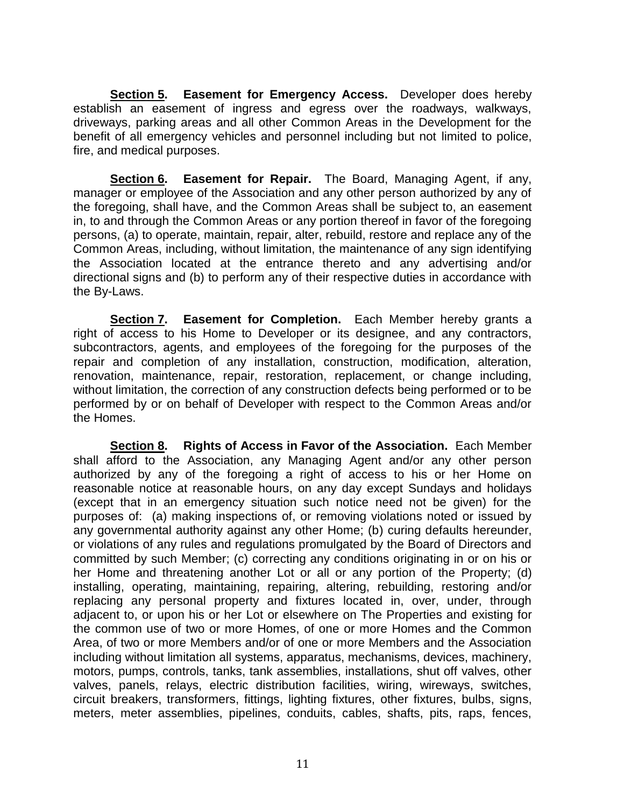**Section 5. Easement for Emergency Access.** Developer does hereby establish an easement of ingress and egress over the roadways, walkways, driveways, parking areas and all other Common Areas in the Development for the benefit of all emergency vehicles and personnel including but not limited to police, fire, and medical purposes.

**Section 6. Easement for Repair.** The Board, Managing Agent, if any, manager or employee of the Association and any other person authorized by any of the foregoing, shall have, and the Common Areas shall be subject to, an easement in, to and through the Common Areas or any portion thereof in favor of the foregoing persons, (a) to operate, maintain, repair, alter, rebuild, restore and replace any of the Common Areas, including, without limitation, the maintenance of any sign identifying the Association located at the entrance thereto and any advertising and/or directional signs and (b) to perform any of their respective duties in accordance with the By-Laws.

**Section 7. Easement for Completion.** Each Member hereby grants a right of access to his Home to Developer or its designee, and any contractors, subcontractors, agents, and employees of the foregoing for the purposes of the repair and completion of any installation, construction, modification, alteration, renovation, maintenance, repair, restoration, replacement, or change including, without limitation, the correction of any construction defects being performed or to be performed by or on behalf of Developer with respect to the Common Areas and/or the Homes.

**Section 8. Rights of Access in Favor of the Association.** Each Member shall afford to the Association, any Managing Agent and/or any other person authorized by any of the foregoing a right of access to his or her Home on reasonable notice at reasonable hours, on any day except Sundays and holidays (except that in an emergency situation such notice need not be given) for the purposes of: (a) making inspections of, or removing violations noted or issued by any governmental authority against any other Home; (b) curing defaults hereunder, or violations of any rules and regulations promulgated by the Board of Directors and committed by such Member; (c) correcting any conditions originating in or on his or her Home and threatening another Lot or all or any portion of the Property; (d) installing, operating, maintaining, repairing, altering, rebuilding, restoring and/or replacing any personal property and fixtures located in, over, under, through adjacent to, or upon his or her Lot or elsewhere on The Properties and existing for the common use of two or more Homes, of one or more Homes and the Common Area, of two or more Members and/or of one or more Members and the Association including without limitation all systems, apparatus, mechanisms, devices, machinery, motors, pumps, controls, tanks, tank assemblies, installations, shut off valves, other valves, panels, relays, electric distribution facilities, wiring, wireways, switches, circuit breakers, transformers, fittings, lighting fixtures, other fixtures, bulbs, signs, meters, meter assemblies, pipelines, conduits, cables, shafts, pits, raps, fences,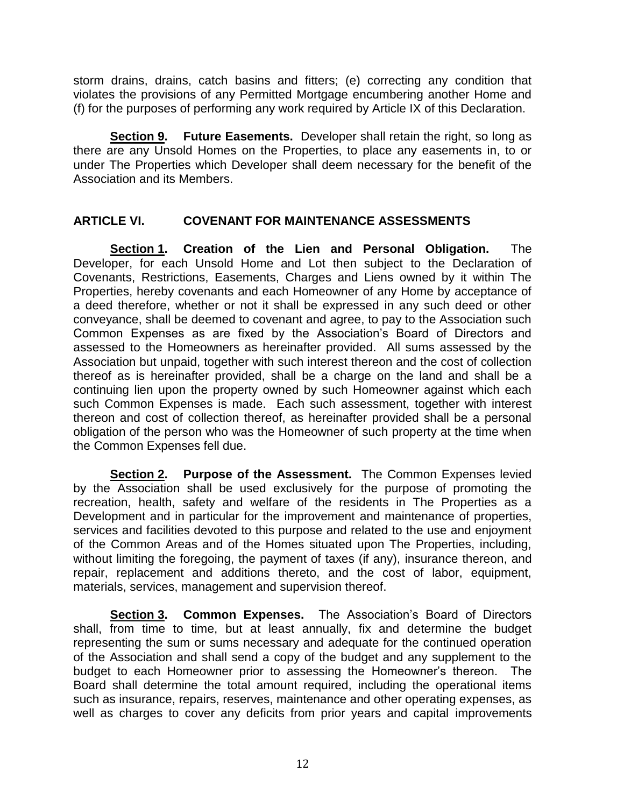storm drains, drains, catch basins and fitters; (e) correcting any condition that violates the provisions of any Permitted Mortgage encumbering another Home and (f) for the purposes of performing any work required by Article IX of this Declaration.

**Section 9. Future Easements.** Developer shall retain the right, so long as there are any Unsold Homes on the Properties, to place any easements in, to or under The Properties which Developer shall deem necessary for the benefit of the Association and its Members.

## **ARTICLE VI. COVENANT FOR MAINTENANCE ASSESSMENTS**

**Section 1. Creation of the Lien and Personal Obligation.** The Developer, for each Unsold Home and Lot then subject to the Declaration of Covenants, Restrictions, Easements, Charges and Liens owned by it within The Properties, hereby covenants and each Homeowner of any Home by acceptance of a deed therefore, whether or not it shall be expressed in any such deed or other conveyance, shall be deemed to covenant and agree, to pay to the Association such Common Expenses as are fixed by the Association's Board of Directors and assessed to the Homeowners as hereinafter provided. All sums assessed by the Association but unpaid, together with such interest thereon and the cost of collection thereof as is hereinafter provided, shall be a charge on the land and shall be a continuing lien upon the property owned by such Homeowner against which each such Common Expenses is made. Each such assessment, together with interest thereon and cost of collection thereof, as hereinafter provided shall be a personal obligation of the person who was the Homeowner of such property at the time when the Common Expenses fell due.

**Section 2. Purpose of the Assessment.** The Common Expenses levied by the Association shall be used exclusively for the purpose of promoting the recreation, health, safety and welfare of the residents in The Properties as a Development and in particular for the improvement and maintenance of properties, services and facilities devoted to this purpose and related to the use and enjoyment of the Common Areas and of the Homes situated upon The Properties, including, without limiting the foregoing, the payment of taxes (if any), insurance thereon, and repair, replacement and additions thereto, and the cost of labor, equipment, materials, services, management and supervision thereof.

**Section 3. Common Expenses.** The Association's Board of Directors shall, from time to time, but at least annually, fix and determine the budget representing the sum or sums necessary and adequate for the continued operation of the Association and shall send a copy of the budget and any supplement to the budget to each Homeowner prior to assessing the Homeowner's thereon. The Board shall determine the total amount required, including the operational items such as insurance, repairs, reserves, maintenance and other operating expenses, as well as charges to cover any deficits from prior years and capital improvements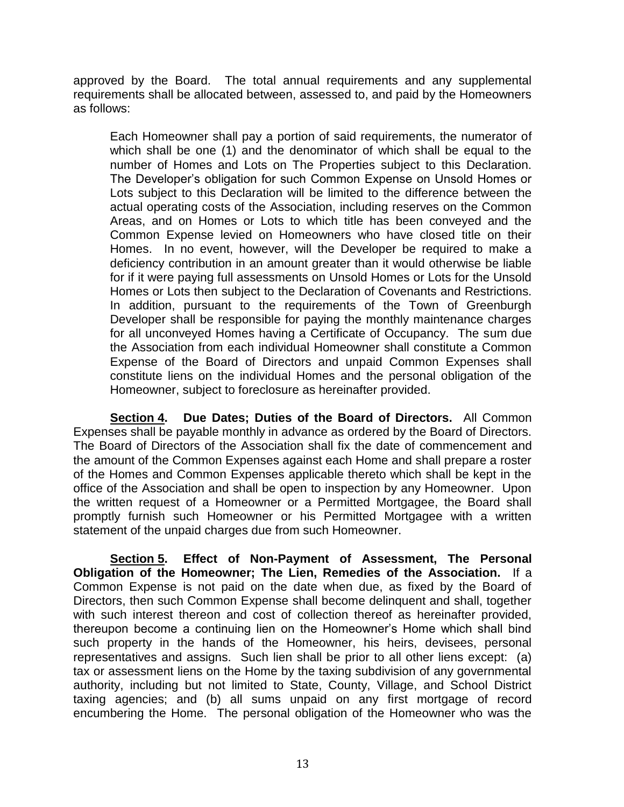approved by the Board. The total annual requirements and any supplemental requirements shall be allocated between, assessed to, and paid by the Homeowners as follows:

Each Homeowner shall pay a portion of said requirements, the numerator of which shall be one (1) and the denominator of which shall be equal to the number of Homes and Lots on The Properties subject to this Declaration. The Developer's obligation for such Common Expense on Unsold Homes or Lots subject to this Declaration will be limited to the difference between the actual operating costs of the Association, including reserves on the Common Areas, and on Homes or Lots to which title has been conveyed and the Common Expense levied on Homeowners who have closed title on their Homes. In no event, however, will the Developer be required to make a deficiency contribution in an amount greater than it would otherwise be liable for if it were paying full assessments on Unsold Homes or Lots for the Unsold Homes or Lots then subject to the Declaration of Covenants and Restrictions. In addition, pursuant to the requirements of the Town of Greenburgh Developer shall be responsible for paying the monthly maintenance charges for all unconveyed Homes having a Certificate of Occupancy. The sum due the Association from each individual Homeowner shall constitute a Common Expense of the Board of Directors and unpaid Common Expenses shall constitute liens on the individual Homes and the personal obligation of the Homeowner, subject to foreclosure as hereinafter provided.

**Section 4. Due Dates; Duties of the Board of Directors.** All Common Expenses shall be payable monthly in advance as ordered by the Board of Directors. The Board of Directors of the Association shall fix the date of commencement and the amount of the Common Expenses against each Home and shall prepare a roster of the Homes and Common Expenses applicable thereto which shall be kept in the office of the Association and shall be open to inspection by any Homeowner. Upon the written request of a Homeowner or a Permitted Mortgagee, the Board shall promptly furnish such Homeowner or his Permitted Mortgagee with a written statement of the unpaid charges due from such Homeowner.

**Section 5. Effect of Non-Payment of Assessment, The Personal Obligation of the Homeowner; The Lien, Remedies of the Association.** If a Common Expense is not paid on the date when due, as fixed by the Board of Directors, then such Common Expense shall become delinquent and shall, together with such interest thereon and cost of collection thereof as hereinafter provided, thereupon become a continuing lien on the Homeowner's Home which shall bind such property in the hands of the Homeowner, his heirs, devisees, personal representatives and assigns. Such lien shall be prior to all other liens except: (a) tax or assessment liens on the Home by the taxing subdivision of any governmental authority, including but not limited to State, County, Village, and School District taxing agencies; and (b) all sums unpaid on any first mortgage of record encumbering the Home. The personal obligation of the Homeowner who was the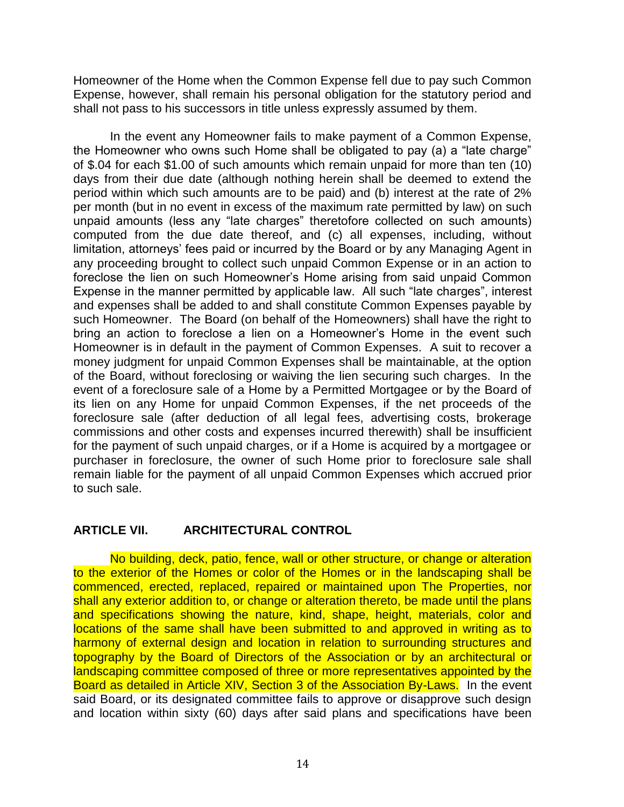Homeowner of the Home when the Common Expense fell due to pay such Common Expense, however, shall remain his personal obligation for the statutory period and shall not pass to his successors in title unless expressly assumed by them.

In the event any Homeowner fails to make payment of a Common Expense, the Homeowner who owns such Home shall be obligated to pay (a) a "late charge" of \$.04 for each \$1.00 of such amounts which remain unpaid for more than ten (10) days from their due date (although nothing herein shall be deemed to extend the period within which such amounts are to be paid) and (b) interest at the rate of 2% per month (but in no event in excess of the maximum rate permitted by law) on such unpaid amounts (less any "late charges" theretofore collected on such amounts) computed from the due date thereof, and (c) all expenses, including, without limitation, attorneys' fees paid or incurred by the Board or by any Managing Agent in any proceeding brought to collect such unpaid Common Expense or in an action to foreclose the lien on such Homeowner's Home arising from said unpaid Common Expense in the manner permitted by applicable law. All such "late charges", interest and expenses shall be added to and shall constitute Common Expenses payable by such Homeowner. The Board (on behalf of the Homeowners) shall have the right to bring an action to foreclose a lien on a Homeowner's Home in the event such Homeowner is in default in the payment of Common Expenses. A suit to recover a money judgment for unpaid Common Expenses shall be maintainable, at the option of the Board, without foreclosing or waiving the lien securing such charges. In the event of a foreclosure sale of a Home by a Permitted Mortgagee or by the Board of its lien on any Home for unpaid Common Expenses, if the net proceeds of the foreclosure sale (after deduction of all legal fees, advertising costs, brokerage commissions and other costs and expenses incurred therewith) shall be insufficient for the payment of such unpaid charges, or if a Home is acquired by a mortgagee or purchaser in foreclosure, the owner of such Home prior to foreclosure sale shall remain liable for the payment of all unpaid Common Expenses which accrued prior to such sale.

### **ARTICLE VII. ARCHITECTURAL CONTROL**

No building, deck, patio, fence, wall or other structure, or change or alteration to the exterior of the Homes or color of the Homes or in the landscaping shall be commenced, erected, replaced, repaired or maintained upon The Properties, nor shall any exterior addition to, or change or alteration thereto, be made until the plans and specifications showing the nature, kind, shape, height, materials, color and locations of the same shall have been submitted to and approved in writing as to harmony of external design and location in relation to surrounding structures and topography by the Board of Directors of the Association or by an architectural or landscaping committee composed of three or more representatives appointed by the Board as detailed in Article XIV, Section 3 of the Association By-Laws. In the event said Board, or its designated committee fails to approve or disapprove such design and location within sixty (60) days after said plans and specifications have been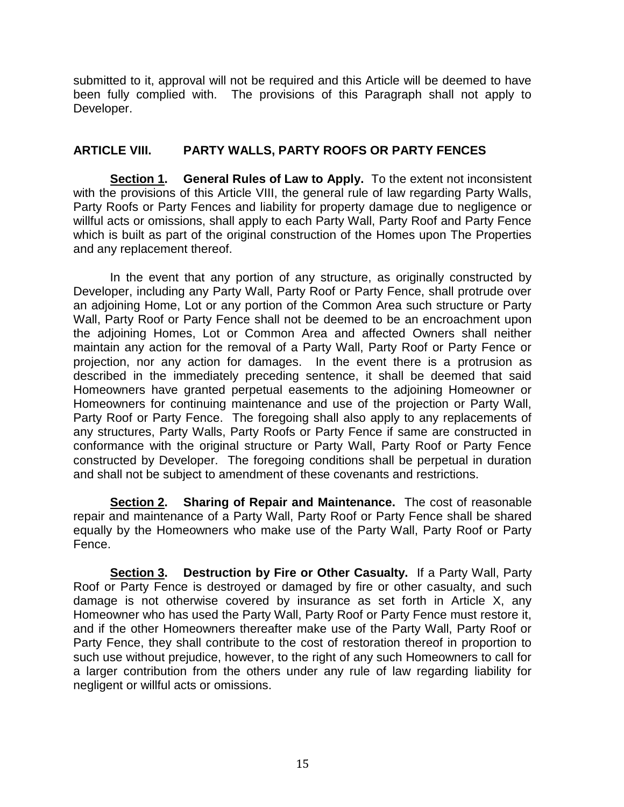submitted to it, approval will not be required and this Article will be deemed to have been fully complied with. The provisions of this Paragraph shall not apply to Developer.

## **ARTICLE VIII. PARTY WALLS, PARTY ROOFS OR PARTY FENCES**

**Section 1. General Rules of Law to Apply.** To the extent not inconsistent with the provisions of this Article VIII, the general rule of law regarding Party Walls, Party Roofs or Party Fences and liability for property damage due to negligence or willful acts or omissions, shall apply to each Party Wall, Party Roof and Party Fence which is built as part of the original construction of the Homes upon The Properties and any replacement thereof.

In the event that any portion of any structure, as originally constructed by Developer, including any Party Wall, Party Roof or Party Fence, shall protrude over an adjoining Home, Lot or any portion of the Common Area such structure or Party Wall, Party Roof or Party Fence shall not be deemed to be an encroachment upon the adjoining Homes, Lot or Common Area and affected Owners shall neither maintain any action for the removal of a Party Wall, Party Roof or Party Fence or projection, nor any action for damages. In the event there is a protrusion as described in the immediately preceding sentence, it shall be deemed that said Homeowners have granted perpetual easements to the adjoining Homeowner or Homeowners for continuing maintenance and use of the projection or Party Wall, Party Roof or Party Fence. The foregoing shall also apply to any replacements of any structures, Party Walls, Party Roofs or Party Fence if same are constructed in conformance with the original structure or Party Wall, Party Roof or Party Fence constructed by Developer. The foregoing conditions shall be perpetual in duration and shall not be subject to amendment of these covenants and restrictions.

**Section 2. Sharing of Repair and Maintenance.** The cost of reasonable repair and maintenance of a Party Wall, Party Roof or Party Fence shall be shared equally by the Homeowners who make use of the Party Wall, Party Roof or Party Fence.

**Section 3. Destruction by Fire or Other Casualty.** If a Party Wall, Party Roof or Party Fence is destroyed or damaged by fire or other casualty, and such damage is not otherwise covered by insurance as set forth in Article X, any Homeowner who has used the Party Wall, Party Roof or Party Fence must restore it, and if the other Homeowners thereafter make use of the Party Wall, Party Roof or Party Fence, they shall contribute to the cost of restoration thereof in proportion to such use without prejudice, however, to the right of any such Homeowners to call for a larger contribution from the others under any rule of law regarding liability for negligent or willful acts or omissions.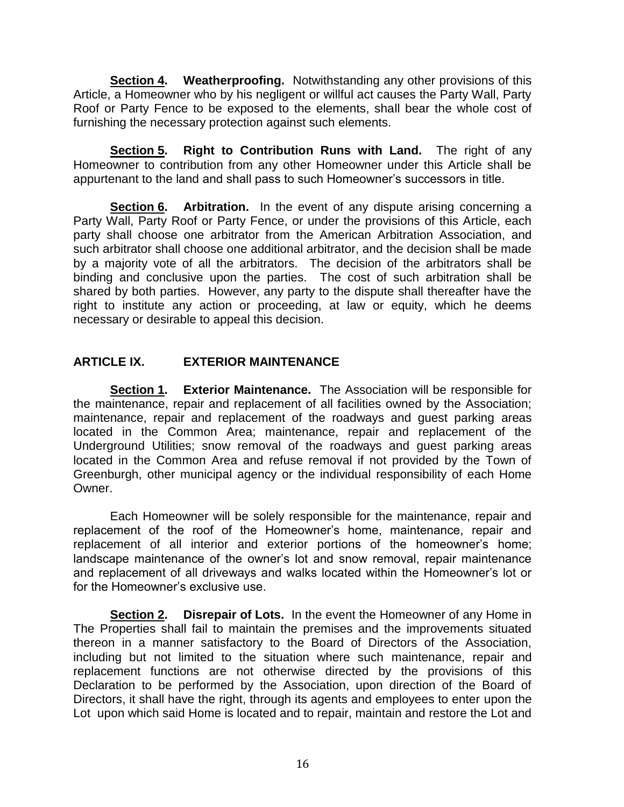**Section 4. Weatherproofing.** Notwithstanding any other provisions of this Article, a Homeowner who by his negligent or willful act causes the Party Wall, Party Roof or Party Fence to be exposed to the elements, shall bear the whole cost of furnishing the necessary protection against such elements.

**Section 5. Right to Contribution Runs with Land.** The right of any Homeowner to contribution from any other Homeowner under this Article shall be appurtenant to the land and shall pass to such Homeowner's successors in title.

**Section 6. Arbitration.** In the event of any dispute arising concerning a Party Wall, Party Roof or Party Fence, or under the provisions of this Article, each party shall choose one arbitrator from the American Arbitration Association, and such arbitrator shall choose one additional arbitrator, and the decision shall be made by a majority vote of all the arbitrators. The decision of the arbitrators shall be binding and conclusive upon the parties. The cost of such arbitration shall be shared by both parties. However, any party to the dispute shall thereafter have the right to institute any action or proceeding, at law or equity, which he deems necessary or desirable to appeal this decision.

## **ARTICLE IX. EXTERIOR MAINTENANCE**

**Section 1. Exterior Maintenance.** The Association will be responsible for the maintenance, repair and replacement of all facilities owned by the Association; maintenance, repair and replacement of the roadways and guest parking areas located in the Common Area; maintenance, repair and replacement of the Underground Utilities; snow removal of the roadways and guest parking areas located in the Common Area and refuse removal if not provided by the Town of Greenburgh, other municipal agency or the individual responsibility of each Home Owner.

Each Homeowner will be solely responsible for the maintenance, repair and replacement of the roof of the Homeowner's home, maintenance, repair and replacement of all interior and exterior portions of the homeowner's home; landscape maintenance of the owner's lot and snow removal, repair maintenance and replacement of all driveways and walks located within the Homeowner's lot or for the Homeowner's exclusive use.

**Section 2. Disrepair of Lots.** In the event the Homeowner of any Home in The Properties shall fail to maintain the premises and the improvements situated thereon in a manner satisfactory to the Board of Directors of the Association, including but not limited to the situation where such maintenance, repair and replacement functions are not otherwise directed by the provisions of this Declaration to be performed by the Association, upon direction of the Board of Directors, it shall have the right, through its agents and employees to enter upon the Lot upon which said Home is located and to repair, maintain and restore the Lot and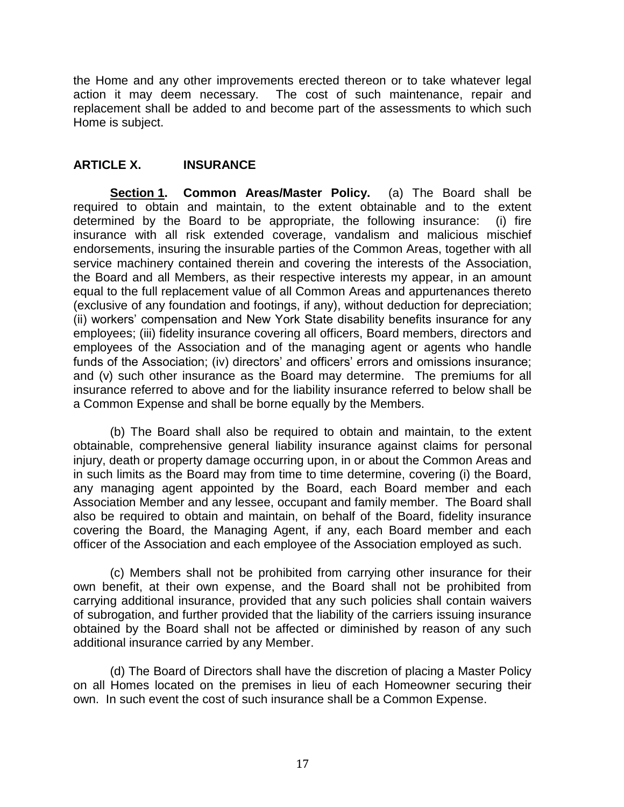the Home and any other improvements erected thereon or to take whatever legal action it may deem necessary. The cost of such maintenance, repair and replacement shall be added to and become part of the assessments to which such Home is subject.

## **ARTICLE X. INSURANCE**

**Section 1. Common Areas/Master Policy.** (a) The Board shall be required to obtain and maintain, to the extent obtainable and to the extent determined by the Board to be appropriate, the following insurance: (i) fire insurance with all risk extended coverage, vandalism and malicious mischief endorsements, insuring the insurable parties of the Common Areas, together with all service machinery contained therein and covering the interests of the Association, the Board and all Members, as their respective interests my appear, in an amount equal to the full replacement value of all Common Areas and appurtenances thereto (exclusive of any foundation and footings, if any), without deduction for depreciation; (ii) workers' compensation and New York State disability benefits insurance for any employees; (iii) fidelity insurance covering all officers, Board members, directors and employees of the Association and of the managing agent or agents who handle funds of the Association; (iv) directors' and officers' errors and omissions insurance; and (v) such other insurance as the Board may determine. The premiums for all insurance referred to above and for the liability insurance referred to below shall be a Common Expense and shall be borne equally by the Members.

(b) The Board shall also be required to obtain and maintain, to the extent obtainable, comprehensive general liability insurance against claims for personal injury, death or property damage occurring upon, in or about the Common Areas and in such limits as the Board may from time to time determine, covering (i) the Board, any managing agent appointed by the Board, each Board member and each Association Member and any lessee, occupant and family member. The Board shall also be required to obtain and maintain, on behalf of the Board, fidelity insurance covering the Board, the Managing Agent, if any, each Board member and each officer of the Association and each employee of the Association employed as such.

(c) Members shall not be prohibited from carrying other insurance for their own benefit, at their own expense, and the Board shall not be prohibited from carrying additional insurance, provided that any such policies shall contain waivers of subrogation, and further provided that the liability of the carriers issuing insurance obtained by the Board shall not be affected or diminished by reason of any such additional insurance carried by any Member.

(d) The Board of Directors shall have the discretion of placing a Master Policy on all Homes located on the premises in lieu of each Homeowner securing their own. In such event the cost of such insurance shall be a Common Expense.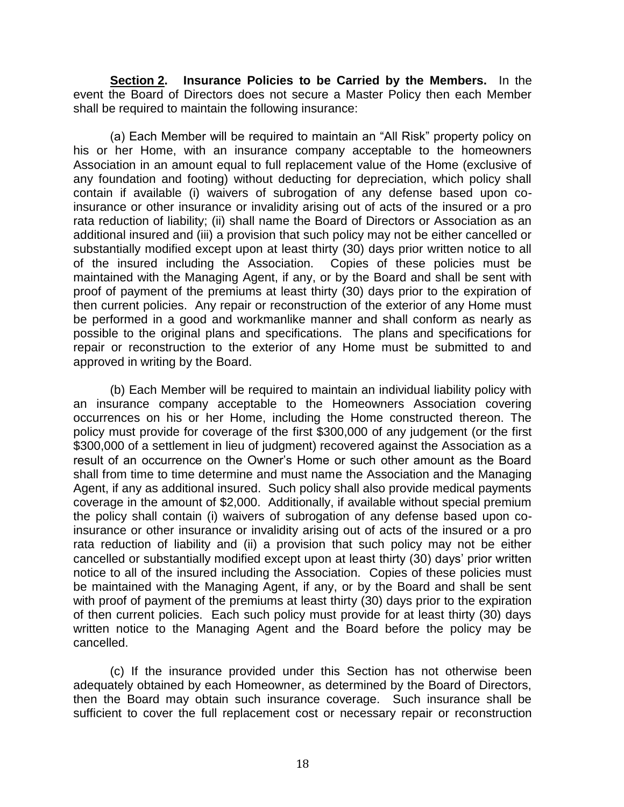**Section 2. Insurance Policies to be Carried by the Members.** In the event the Board of Directors does not secure a Master Policy then each Member shall be required to maintain the following insurance:

(a) Each Member will be required to maintain an "All Risk" property policy on his or her Home, with an insurance company acceptable to the homeowners Association in an amount equal to full replacement value of the Home (exclusive of any foundation and footing) without deducting for depreciation, which policy shall contain if available (i) waivers of subrogation of any defense based upon coinsurance or other insurance or invalidity arising out of acts of the insured or a pro rata reduction of liability; (ii) shall name the Board of Directors or Association as an additional insured and (iii) a provision that such policy may not be either cancelled or substantially modified except upon at least thirty (30) days prior written notice to all of the insured including the Association. Copies of these policies must be maintained with the Managing Agent, if any, or by the Board and shall be sent with proof of payment of the premiums at least thirty (30) days prior to the expiration of then current policies. Any repair or reconstruction of the exterior of any Home must be performed in a good and workmanlike manner and shall conform as nearly as possible to the original plans and specifications. The plans and specifications for repair or reconstruction to the exterior of any Home must be submitted to and approved in writing by the Board.

(b) Each Member will be required to maintain an individual liability policy with an insurance company acceptable to the Homeowners Association covering occurrences on his or her Home, including the Home constructed thereon. The policy must provide for coverage of the first \$300,000 of any judgement (or the first \$300,000 of a settlement in lieu of judgment) recovered against the Association as a result of an occurrence on the Owner's Home or such other amount as the Board shall from time to time determine and must name the Association and the Managing Agent, if any as additional insured. Such policy shall also provide medical payments coverage in the amount of \$2,000. Additionally, if available without special premium the policy shall contain (i) waivers of subrogation of any defense based upon coinsurance or other insurance or invalidity arising out of acts of the insured or a pro rata reduction of liability and (ii) a provision that such policy may not be either cancelled or substantially modified except upon at least thirty (30) days' prior written notice to all of the insured including the Association. Copies of these policies must be maintained with the Managing Agent, if any, or by the Board and shall be sent with proof of payment of the premiums at least thirty (30) days prior to the expiration of then current policies. Each such policy must provide for at least thirty (30) days written notice to the Managing Agent and the Board before the policy may be cancelled.

(c) If the insurance provided under this Section has not otherwise been adequately obtained by each Homeowner, as determined by the Board of Directors, then the Board may obtain such insurance coverage. Such insurance shall be sufficient to cover the full replacement cost or necessary repair or reconstruction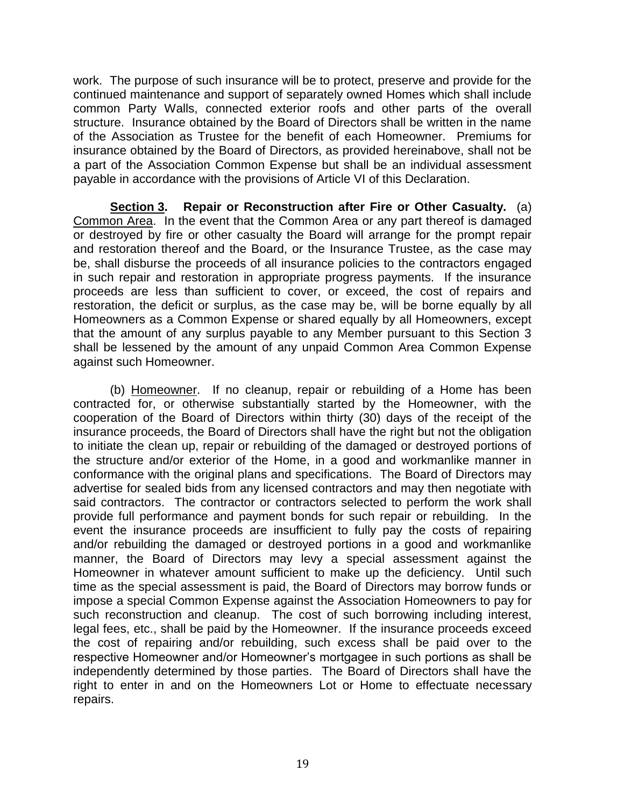work. The purpose of such insurance will be to protect, preserve and provide for the continued maintenance and support of separately owned Homes which shall include common Party Walls, connected exterior roofs and other parts of the overall structure. Insurance obtained by the Board of Directors shall be written in the name of the Association as Trustee for the benefit of each Homeowner. Premiums for insurance obtained by the Board of Directors, as provided hereinabove, shall not be a part of the Association Common Expense but shall be an individual assessment payable in accordance with the provisions of Article VI of this Declaration.

**Section 3. Repair or Reconstruction after Fire or Other Casualty.** (a) Common Area. In the event that the Common Area or any part thereof is damaged or destroyed by fire or other casualty the Board will arrange for the prompt repair and restoration thereof and the Board, or the Insurance Trustee, as the case may be, shall disburse the proceeds of all insurance policies to the contractors engaged in such repair and restoration in appropriate progress payments. If the insurance proceeds are less than sufficient to cover, or exceed, the cost of repairs and restoration, the deficit or surplus, as the case may be, will be borne equally by all Homeowners as a Common Expense or shared equally by all Homeowners, except that the amount of any surplus payable to any Member pursuant to this Section 3 shall be lessened by the amount of any unpaid Common Area Common Expense against such Homeowner.

(b) Homeowner. If no cleanup, repair or rebuilding of a Home has been contracted for, or otherwise substantially started by the Homeowner, with the cooperation of the Board of Directors within thirty (30) days of the receipt of the insurance proceeds, the Board of Directors shall have the right but not the obligation to initiate the clean up, repair or rebuilding of the damaged or destroyed portions of the structure and/or exterior of the Home, in a good and workmanlike manner in conformance with the original plans and specifications. The Board of Directors may advertise for sealed bids from any licensed contractors and may then negotiate with said contractors. The contractor or contractors selected to perform the work shall provide full performance and payment bonds for such repair or rebuilding. In the event the insurance proceeds are insufficient to fully pay the costs of repairing and/or rebuilding the damaged or destroyed portions in a good and workmanlike manner, the Board of Directors may levy a special assessment against the Homeowner in whatever amount sufficient to make up the deficiency. Until such time as the special assessment is paid, the Board of Directors may borrow funds or impose a special Common Expense against the Association Homeowners to pay for such reconstruction and cleanup. The cost of such borrowing including interest, legal fees, etc., shall be paid by the Homeowner. If the insurance proceeds exceed the cost of repairing and/or rebuilding, such excess shall be paid over to the respective Homeowner and/or Homeowner's mortgagee in such portions as shall be independently determined by those parties. The Board of Directors shall have the right to enter in and on the Homeowners Lot or Home to effectuate necessary repairs.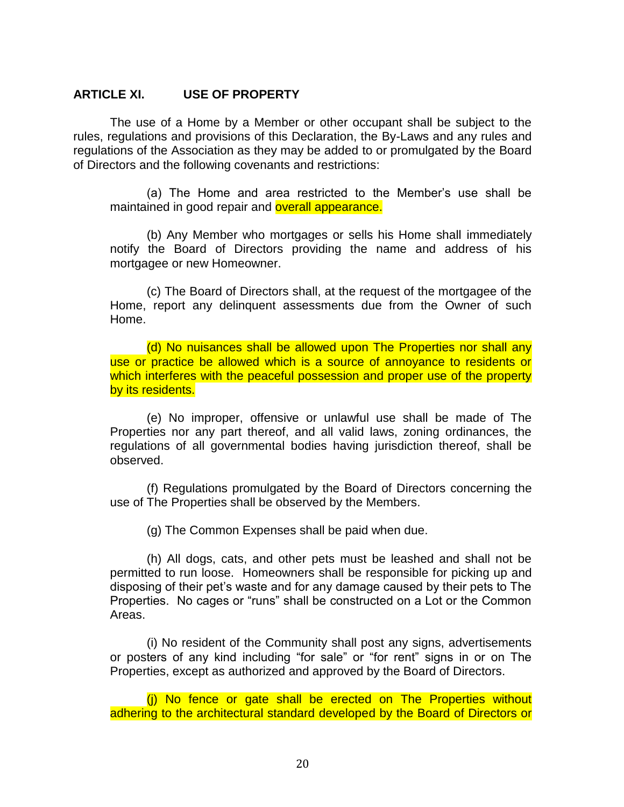#### **ARTICLE XI. USE OF PROPERTY**

The use of a Home by a Member or other occupant shall be subject to the rules, regulations and provisions of this Declaration, the By-Laws and any rules and regulations of the Association as they may be added to or promulgated by the Board of Directors and the following covenants and restrictions:

(a) The Home and area restricted to the Member's use shall be maintained in good repair and **overall appearance.** 

(b) Any Member who mortgages or sells his Home shall immediately notify the Board of Directors providing the name and address of his mortgagee or new Homeowner.

(c) The Board of Directors shall, at the request of the mortgagee of the Home, report any delinquent assessments due from the Owner of such Home.

(d) No nuisances shall be allowed upon The Properties nor shall any use or practice be allowed which is a source of annoyance to residents or which interferes with the peaceful possession and proper use of the property by its residents.

(e) No improper, offensive or unlawful use shall be made of The Properties nor any part thereof, and all valid laws, zoning ordinances, the regulations of all governmental bodies having jurisdiction thereof, shall be observed.

(f) Regulations promulgated by the Board of Directors concerning the use of The Properties shall be observed by the Members.

(g) The Common Expenses shall be paid when due.

(h) All dogs, cats, and other pets must be leashed and shall not be permitted to run loose. Homeowners shall be responsible for picking up and disposing of their pet's waste and for any damage caused by their pets to The Properties. No cages or "runs" shall be constructed on a Lot or the Common Areas.

(i) No resident of the Community shall post any signs, advertisements or posters of any kind including "for sale" or "for rent" signs in or on The Properties, except as authorized and approved by the Board of Directors.

(j) No fence or gate shall be erected on The Properties without adhering to the architectural standard developed by the Board of Directors or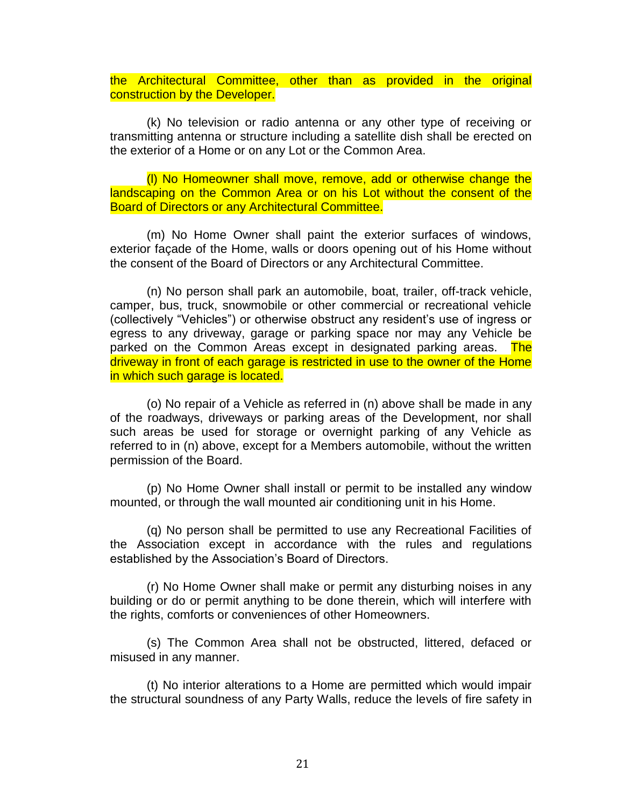the Architectural Committee, other than as provided in the original construction by the Developer.

(k) No television or radio antenna or any other type of receiving or transmitting antenna or structure including a satellite dish shall be erected on the exterior of a Home or on any Lot or the Common Area.

(l) No Homeowner shall move, remove, add or otherwise change the landscaping on the Common Area or on his Lot without the consent of the Board of Directors or any Architectural Committee.

(m) No Home Owner shall paint the exterior surfaces of windows, exterior façade of the Home, walls or doors opening out of his Home without the consent of the Board of Directors or any Architectural Committee.

(n) No person shall park an automobile, boat, trailer, off-track vehicle, camper, bus, truck, snowmobile or other commercial or recreational vehicle (collectively "Vehicles") or otherwise obstruct any resident's use of ingress or egress to any driveway, garage or parking space nor may any Vehicle be parked on the Common Areas except in designated parking areas. The driveway in front of each garage is restricted in use to the owner of the Home in which such garage is located.

(o) No repair of a Vehicle as referred in (n) above shall be made in any of the roadways, driveways or parking areas of the Development, nor shall such areas be used for storage or overnight parking of any Vehicle as referred to in (n) above, except for a Members automobile, without the written permission of the Board.

(p) No Home Owner shall install or permit to be installed any window mounted, or through the wall mounted air conditioning unit in his Home.

(q) No person shall be permitted to use any Recreational Facilities of the Association except in accordance with the rules and regulations established by the Association's Board of Directors.

(r) No Home Owner shall make or permit any disturbing noises in any building or do or permit anything to be done therein, which will interfere with the rights, comforts or conveniences of other Homeowners.

(s) The Common Area shall not be obstructed, littered, defaced or misused in any manner.

(t) No interior alterations to a Home are permitted which would impair the structural soundness of any Party Walls, reduce the levels of fire safety in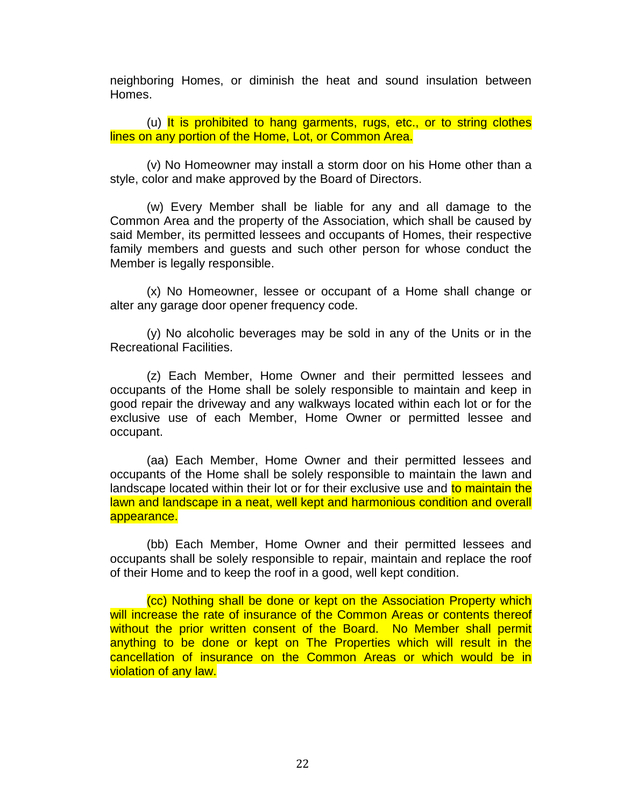neighboring Homes, or diminish the heat and sound insulation between Homes.

(u) It is prohibited to hang garments, rugs, etc., or to string clothes lines on any portion of the Home, Lot, or Common Area.

(v) No Homeowner may install a storm door on his Home other than a style, color and make approved by the Board of Directors.

(w) Every Member shall be liable for any and all damage to the Common Area and the property of the Association, which shall be caused by said Member, its permitted lessees and occupants of Homes, their respective family members and guests and such other person for whose conduct the Member is legally responsible.

(x) No Homeowner, lessee or occupant of a Home shall change or alter any garage door opener frequency code.

(y) No alcoholic beverages may be sold in any of the Units or in the Recreational Facilities.

(z) Each Member, Home Owner and their permitted lessees and occupants of the Home shall be solely responsible to maintain and keep in good repair the driveway and any walkways located within each lot or for the exclusive use of each Member, Home Owner or permitted lessee and occupant.

(aa) Each Member, Home Owner and their permitted lessees and occupants of the Home shall be solely responsible to maintain the lawn and landscape located within their lot or for their exclusive use and to maintain the lawn and landscape in a neat, well kept and harmonious condition and overall appearance.

(bb) Each Member, Home Owner and their permitted lessees and occupants shall be solely responsible to repair, maintain and replace the roof of their Home and to keep the roof in a good, well kept condition.

(cc) Nothing shall be done or kept on the Association Property which will increase the rate of insurance of the Common Areas or contents thereof without the prior written consent of the Board. No Member shall permit anything to be done or kept on The Properties which will result in the cancellation of insurance on the Common Areas or which would be in violation of any law.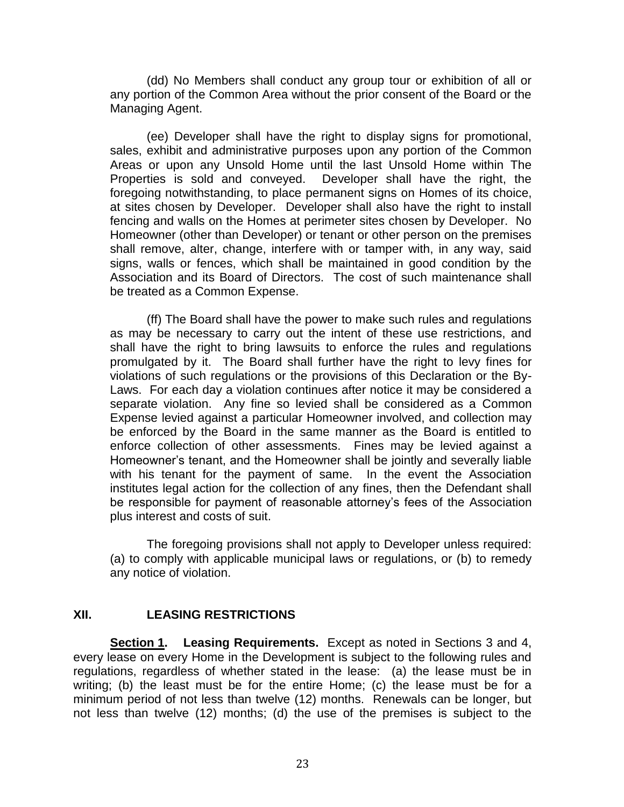(dd) No Members shall conduct any group tour or exhibition of all or any portion of the Common Area without the prior consent of the Board or the Managing Agent.

(ee) Developer shall have the right to display signs for promotional, sales, exhibit and administrative purposes upon any portion of the Common Areas or upon any Unsold Home until the last Unsold Home within The Properties is sold and conveyed. Developer shall have the right, the foregoing notwithstanding, to place permanent signs on Homes of its choice, at sites chosen by Developer. Developer shall also have the right to install fencing and walls on the Homes at perimeter sites chosen by Developer. No Homeowner (other than Developer) or tenant or other person on the premises shall remove, alter, change, interfere with or tamper with, in any way, said signs, walls or fences, which shall be maintained in good condition by the Association and its Board of Directors. The cost of such maintenance shall be treated as a Common Expense.

(ff) The Board shall have the power to make such rules and regulations as may be necessary to carry out the intent of these use restrictions, and shall have the right to bring lawsuits to enforce the rules and regulations promulgated by it. The Board shall further have the right to levy fines for violations of such regulations or the provisions of this Declaration or the By-Laws. For each day a violation continues after notice it may be considered a separate violation. Any fine so levied shall be considered as a Common Expense levied against a particular Homeowner involved, and collection may be enforced by the Board in the same manner as the Board is entitled to enforce collection of other assessments. Fines may be levied against a Homeowner's tenant, and the Homeowner shall be jointly and severally liable with his tenant for the payment of same. In the event the Association institutes legal action for the collection of any fines, then the Defendant shall be responsible for payment of reasonable attorney's fees of the Association plus interest and costs of suit.

The foregoing provisions shall not apply to Developer unless required: (a) to comply with applicable municipal laws or regulations, or (b) to remedy any notice of violation.

### **XII. LEASING RESTRICTIONS**

**Section 1. Leasing Requirements.** Except as noted in Sections 3 and 4, every lease on every Home in the Development is subject to the following rules and regulations, regardless of whether stated in the lease: (a) the lease must be in writing; (b) the least must be for the entire Home; (c) the lease must be for a minimum period of not less than twelve (12) months. Renewals can be longer, but not less than twelve (12) months; (d) the use of the premises is subject to the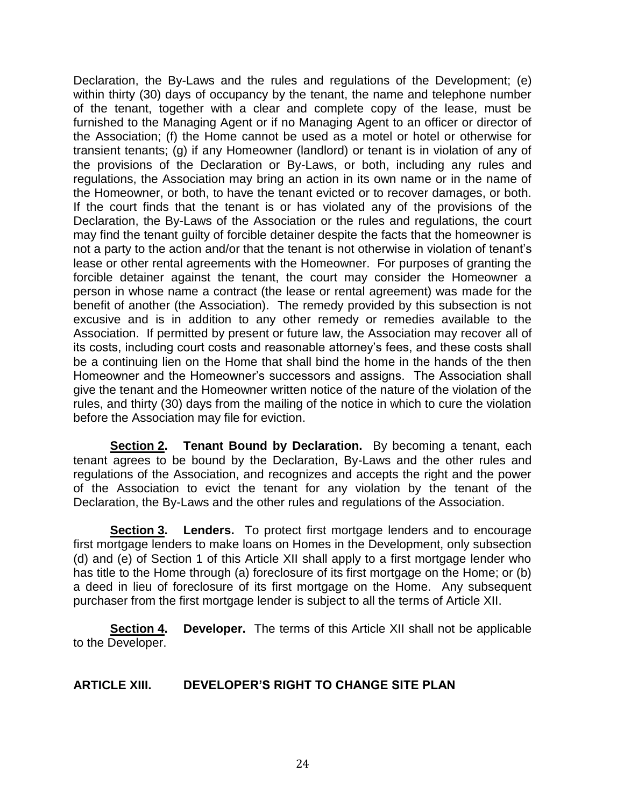Declaration, the By-Laws and the rules and regulations of the Development; (e) within thirty (30) days of occupancy by the tenant, the name and telephone number of the tenant, together with a clear and complete copy of the lease, must be furnished to the Managing Agent or if no Managing Agent to an officer or director of the Association; (f) the Home cannot be used as a motel or hotel or otherwise for transient tenants; (g) if any Homeowner (landlord) or tenant is in violation of any of the provisions of the Declaration or By-Laws, or both, including any rules and regulations, the Association may bring an action in its own name or in the name of the Homeowner, or both, to have the tenant evicted or to recover damages, or both. If the court finds that the tenant is or has violated any of the provisions of the Declaration, the By-Laws of the Association or the rules and regulations, the court may find the tenant guilty of forcible detainer despite the facts that the homeowner is not a party to the action and/or that the tenant is not otherwise in violation of tenant's lease or other rental agreements with the Homeowner. For purposes of granting the forcible detainer against the tenant, the court may consider the Homeowner a person in whose name a contract (the lease or rental agreement) was made for the benefit of another (the Association). The remedy provided by this subsection is not excusive and is in addition to any other remedy or remedies available to the Association. If permitted by present or future law, the Association may recover all of its costs, including court costs and reasonable attorney's fees, and these costs shall be a continuing lien on the Home that shall bind the home in the hands of the then Homeowner and the Homeowner's successors and assigns. The Association shall give the tenant and the Homeowner written notice of the nature of the violation of the rules, and thirty (30) days from the mailing of the notice in which to cure the violation before the Association may file for eviction.

**Section 2. Tenant Bound by Declaration.** By becoming a tenant, each tenant agrees to be bound by the Declaration, By-Laws and the other rules and regulations of the Association, and recognizes and accepts the right and the power of the Association to evict the tenant for any violation by the tenant of the Declaration, the By-Laws and the other rules and regulations of the Association.

**Section 3. Lenders.** To protect first mortgage lenders and to encourage first mortgage lenders to make loans on Homes in the Development, only subsection (d) and (e) of Section 1 of this Article XII shall apply to a first mortgage lender who has title to the Home through (a) foreclosure of its first mortgage on the Home; or (b) a deed in lieu of foreclosure of its first mortgage on the Home. Any subsequent purchaser from the first mortgage lender is subject to all the terms of Article XII.

**Section 4. Developer.** The terms of this Article XII shall not be applicable to the Developer.

# **ARTICLE XIII. DEVELOPER'S RIGHT TO CHANGE SITE PLAN**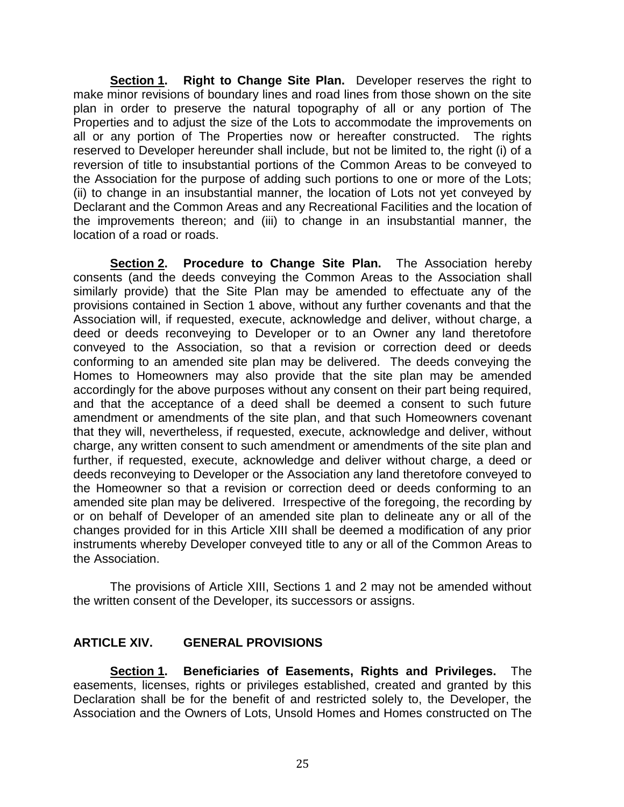**Section 1. Right to Change Site Plan.** Developer reserves the right to make minor revisions of boundary lines and road lines from those shown on the site plan in order to preserve the natural topography of all or any portion of The Properties and to adjust the size of the Lots to accommodate the improvements on all or any portion of The Properties now or hereafter constructed. The rights reserved to Developer hereunder shall include, but not be limited to, the right (i) of a reversion of title to insubstantial portions of the Common Areas to be conveyed to the Association for the purpose of adding such portions to one or more of the Lots; (ii) to change in an insubstantial manner, the location of Lots not yet conveyed by Declarant and the Common Areas and any Recreational Facilities and the location of the improvements thereon; and (iii) to change in an insubstantial manner, the location of a road or roads.

**Section 2. Procedure to Change Site Plan.** The Association hereby consents (and the deeds conveying the Common Areas to the Association shall similarly provide) that the Site Plan may be amended to effectuate any of the provisions contained in Section 1 above, without any further covenants and that the Association will, if requested, execute, acknowledge and deliver, without charge, a deed or deeds reconveying to Developer or to an Owner any land theretofore conveyed to the Association, so that a revision or correction deed or deeds conforming to an amended site plan may be delivered. The deeds conveying the Homes to Homeowners may also provide that the site plan may be amended accordingly for the above purposes without any consent on their part being required, and that the acceptance of a deed shall be deemed a consent to such future amendment or amendments of the site plan, and that such Homeowners covenant that they will, nevertheless, if requested, execute, acknowledge and deliver, without charge, any written consent to such amendment or amendments of the site plan and further, if requested, execute, acknowledge and deliver without charge, a deed or deeds reconveying to Developer or the Association any land theretofore conveyed to the Homeowner so that a revision or correction deed or deeds conforming to an amended site plan may be delivered. Irrespective of the foregoing, the recording by or on behalf of Developer of an amended site plan to delineate any or all of the changes provided for in this Article XIII shall be deemed a modification of any prior instruments whereby Developer conveyed title to any or all of the Common Areas to the Association.

The provisions of Article XIII, Sections 1 and 2 may not be amended without the written consent of the Developer, its successors or assigns.

### **ARTICLE XIV. GENERAL PROVISIONS**

**Section 1. Beneficiaries of Easements, Rights and Privileges.** The easements, licenses, rights or privileges established, created and granted by this Declaration shall be for the benefit of and restricted solely to, the Developer, the Association and the Owners of Lots, Unsold Homes and Homes constructed on The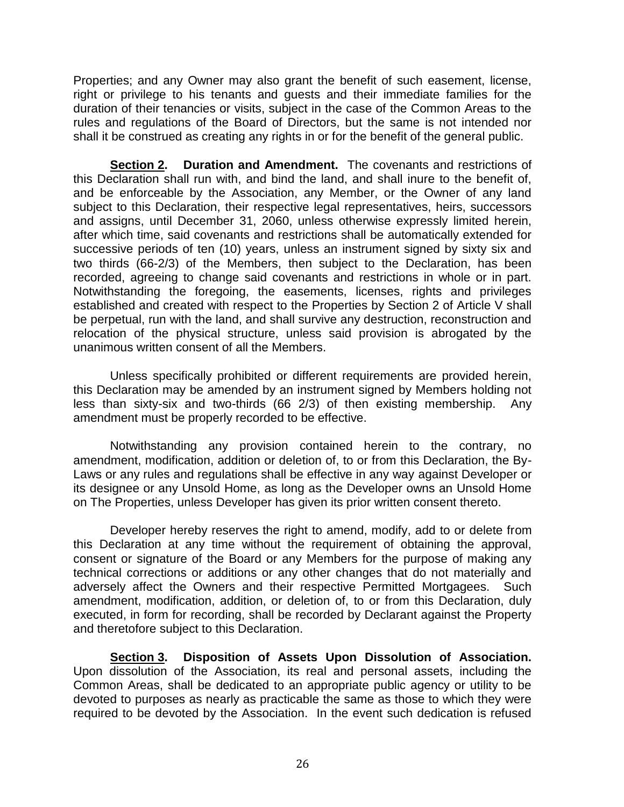Properties; and any Owner may also grant the benefit of such easement, license, right or privilege to his tenants and guests and their immediate families for the duration of their tenancies or visits, subject in the case of the Common Areas to the rules and regulations of the Board of Directors, but the same is not intended nor shall it be construed as creating any rights in or for the benefit of the general public.

**Section 2. Duration and Amendment.** The covenants and restrictions of this Declaration shall run with, and bind the land, and shall inure to the benefit of, and be enforceable by the Association, any Member, or the Owner of any land subject to this Declaration, their respective legal representatives, heirs, successors and assigns, until December 31, 2060, unless otherwise expressly limited herein, after which time, said covenants and restrictions shall be automatically extended for successive periods of ten (10) years, unless an instrument signed by sixty six and two thirds (66-2/3) of the Members, then subject to the Declaration, has been recorded, agreeing to change said covenants and restrictions in whole or in part. Notwithstanding the foregoing, the easements, licenses, rights and privileges established and created with respect to the Properties by Section 2 of Article V shall be perpetual, run with the land, and shall survive any destruction, reconstruction and relocation of the physical structure, unless said provision is abrogated by the unanimous written consent of all the Members.

Unless specifically prohibited or different requirements are provided herein, this Declaration may be amended by an instrument signed by Members holding not less than sixty-six and two-thirds (66 2/3) of then existing membership. Any amendment must be properly recorded to be effective.

Notwithstanding any provision contained herein to the contrary, no amendment, modification, addition or deletion of, to or from this Declaration, the By-Laws or any rules and regulations shall be effective in any way against Developer or its designee or any Unsold Home, as long as the Developer owns an Unsold Home on The Properties, unless Developer has given its prior written consent thereto.

Developer hereby reserves the right to amend, modify, add to or delete from this Declaration at any time without the requirement of obtaining the approval, consent or signature of the Board or any Members for the purpose of making any technical corrections or additions or any other changes that do not materially and adversely affect the Owners and their respective Permitted Mortgagees. Such amendment, modification, addition, or deletion of, to or from this Declaration, duly executed, in form for recording, shall be recorded by Declarant against the Property and theretofore subject to this Declaration.

**Section 3. Disposition of Assets Upon Dissolution of Association.** Upon dissolution of the Association, its real and personal assets, including the Common Areas, shall be dedicated to an appropriate public agency or utility to be devoted to purposes as nearly as practicable the same as those to which they were required to be devoted by the Association. In the event such dedication is refused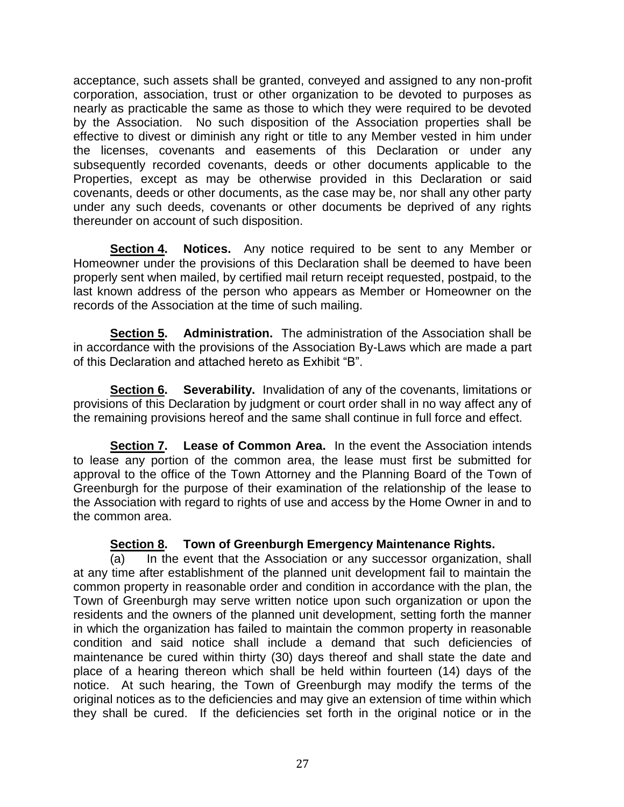acceptance, such assets shall be granted, conveyed and assigned to any non-profit corporation, association, trust or other organization to be devoted to purposes as nearly as practicable the same as those to which they were required to be devoted by the Association. No such disposition of the Association properties shall be effective to divest or diminish any right or title to any Member vested in him under the licenses, covenants and easements of this Declaration or under any subsequently recorded covenants, deeds or other documents applicable to the Properties, except as may be otherwise provided in this Declaration or said covenants, deeds or other documents, as the case may be, nor shall any other party under any such deeds, covenants or other documents be deprived of any rights thereunder on account of such disposition.

**Section 4. Notices.** Any notice required to be sent to any Member or Homeowner under the provisions of this Declaration shall be deemed to have been properly sent when mailed, by certified mail return receipt requested, postpaid, to the last known address of the person who appears as Member or Homeowner on the records of the Association at the time of such mailing.

**Section 5. Administration.** The administration of the Association shall be in accordance with the provisions of the Association By-Laws which are made a part of this Declaration and attached hereto as Exhibit "B".

**Section 6. Severability.** Invalidation of any of the covenants, limitations or provisions of this Declaration by judgment or court order shall in no way affect any of the remaining provisions hereof and the same shall continue in full force and effect.

**Section 7. Lease of Common Area.** In the event the Association intends to lease any portion of the common area, the lease must first be submitted for approval to the office of the Town Attorney and the Planning Board of the Town of Greenburgh for the purpose of their examination of the relationship of the lease to the Association with regard to rights of use and access by the Home Owner in and to the common area.

### **Section 8. Town of Greenburgh Emergency Maintenance Rights.**

(a) In the event that the Association or any successor organization, shall at any time after establishment of the planned unit development fail to maintain the common property in reasonable order and condition in accordance with the plan, the Town of Greenburgh may serve written notice upon such organization or upon the residents and the owners of the planned unit development, setting forth the manner in which the organization has failed to maintain the common property in reasonable condition and said notice shall include a demand that such deficiencies of maintenance be cured within thirty (30) days thereof and shall state the date and place of a hearing thereon which shall be held within fourteen (14) days of the notice. At such hearing, the Town of Greenburgh may modify the terms of the original notices as to the deficiencies and may give an extension of time within which they shall be cured. If the deficiencies set forth in the original notice or in the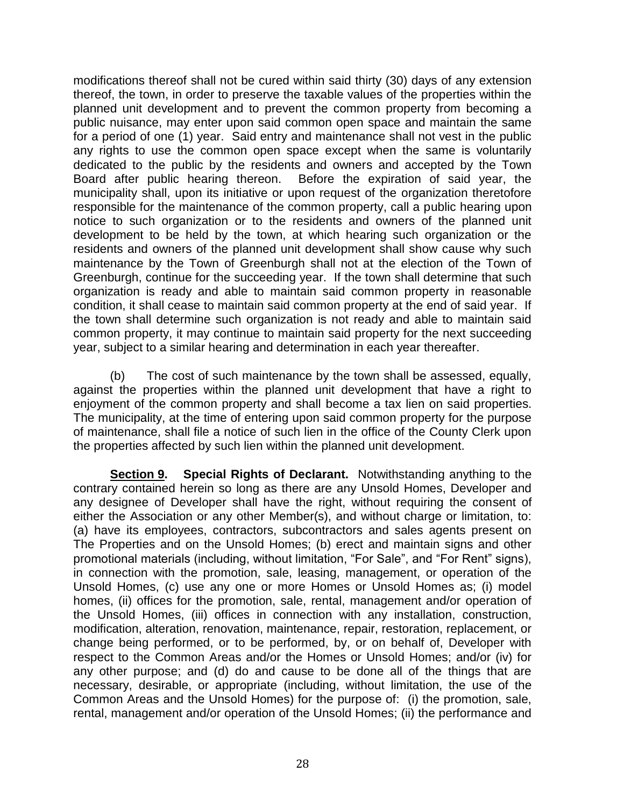modifications thereof shall not be cured within said thirty (30) days of any extension thereof, the town, in order to preserve the taxable values of the properties within the planned unit development and to prevent the common property from becoming a public nuisance, may enter upon said common open space and maintain the same for a period of one (1) year. Said entry and maintenance shall not vest in the public any rights to use the common open space except when the same is voluntarily dedicated to the public by the residents and owners and accepted by the Town Board after public hearing thereon. Before the expiration of said year, the municipality shall, upon its initiative or upon request of the organization theretofore responsible for the maintenance of the common property, call a public hearing upon notice to such organization or to the residents and owners of the planned unit development to be held by the town, at which hearing such organization or the residents and owners of the planned unit development shall show cause why such maintenance by the Town of Greenburgh shall not at the election of the Town of Greenburgh, continue for the succeeding year. If the town shall determine that such organization is ready and able to maintain said common property in reasonable condition, it shall cease to maintain said common property at the end of said year. If the town shall determine such organization is not ready and able to maintain said common property, it may continue to maintain said property for the next succeeding year, subject to a similar hearing and determination in each year thereafter.

(b) The cost of such maintenance by the town shall be assessed, equally, against the properties within the planned unit development that have a right to enjoyment of the common property and shall become a tax lien on said properties. The municipality, at the time of entering upon said common property for the purpose of maintenance, shall file a notice of such lien in the office of the County Clerk upon the properties affected by such lien within the planned unit development.

**Section 9. Special Rights of Declarant.** Notwithstanding anything to the contrary contained herein so long as there are any Unsold Homes, Developer and any designee of Developer shall have the right, without requiring the consent of either the Association or any other Member(s), and without charge or limitation, to: (a) have its employees, contractors, subcontractors and sales agents present on The Properties and on the Unsold Homes; (b) erect and maintain signs and other promotional materials (including, without limitation, "For Sale", and "For Rent" signs), in connection with the promotion, sale, leasing, management, or operation of the Unsold Homes, (c) use any one or more Homes or Unsold Homes as; (i) model homes, (ii) offices for the promotion, sale, rental, management and/or operation of the Unsold Homes, (iii) offices in connection with any installation, construction, modification, alteration, renovation, maintenance, repair, restoration, replacement, or change being performed, or to be performed, by, or on behalf of, Developer with respect to the Common Areas and/or the Homes or Unsold Homes; and/or (iv) for any other purpose; and (d) do and cause to be done all of the things that are necessary, desirable, or appropriate (including, without limitation, the use of the Common Areas and the Unsold Homes) for the purpose of: (i) the promotion, sale, rental, management and/or operation of the Unsold Homes; (ii) the performance and